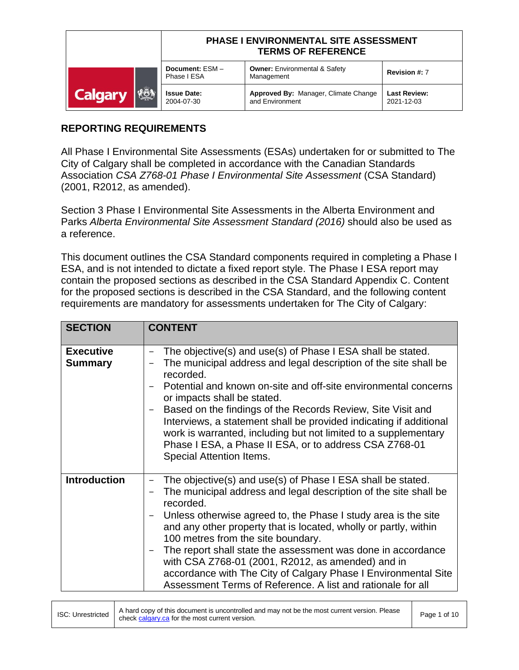|                               | <b>PHASE I ENVIRONMENTAL SITE ASSESSMENT</b><br><b>TERMS OF REFERENCE</b> |                                                         |                                   |
|-------------------------------|---------------------------------------------------------------------------|---------------------------------------------------------|-----------------------------------|
|                               | Document: ESM-<br>Phase I ESA                                             | <b>Owner: Environmental &amp; Safety</b><br>Management  | Revision #: 7                     |
| <b>VEER</b><br><b>Calgary</b> | <b>Issue Date:</b><br>2004-07-30                                          | Approved By: Manager, Climate Change<br>and Environment | <b>Last Review:</b><br>2021-12-03 |

## **REPORTING REQUIREMENTS**

All Phase I Environmental Site Assessments (ESAs) undertaken for or submitted to The City of Calgary shall be completed in accordance with the Canadian Standards Association *CSA Z768-01 Phase I Environmental Site Assessment* (CSA Standard) (2001, R2012, as amended).

Section 3 Phase I Environmental Site Assessments in the Alberta Environment and Parks *Alberta Environmental Site Assessment Standard (2016)* should also be used as a reference.

This document outlines the CSA Standard components required in completing a Phase I ESA, and is not intended to dictate a fixed report style. The Phase I ESA report may contain the proposed sections as described in the CSA Standard Appendix C. Content for the proposed sections is described in the CSA Standard, and the following content requirements are mandatory for assessments undertaken for The City of Calgary:

| <b>SECTION</b>                     | <b>CONTENT</b>                                                                                                                                                                                                                                                                                                                                                                                                                                                                                                                                                                 |
|------------------------------------|--------------------------------------------------------------------------------------------------------------------------------------------------------------------------------------------------------------------------------------------------------------------------------------------------------------------------------------------------------------------------------------------------------------------------------------------------------------------------------------------------------------------------------------------------------------------------------|
| <b>Executive</b><br><b>Summary</b> | The objective(s) and use(s) of Phase I ESA shall be stated.<br>The municipal address and legal description of the site shall be<br>recorded.<br>Potential and known on-site and off-site environmental concerns<br>or impacts shall be stated.<br>Based on the findings of the Records Review, Site Visit and<br>Interviews, a statement shall be provided indicating if additional<br>work is warranted, including but not limited to a supplementary<br>Phase I ESA, a Phase II ESA, or to address CSA Z768-01<br><b>Special Attention Items.</b>                            |
| <b>Introduction</b>                | The objective(s) and use(s) of Phase I ESA shall be stated.<br>The municipal address and legal description of the site shall be<br>recorded.<br>Unless otherwise agreed to, the Phase I study area is the site<br>and any other property that is located, wholly or partly, within<br>100 metres from the site boundary.<br>The report shall state the assessment was done in accordance<br>with CSA Z768-01 (2001, R2012, as amended) and in<br>accordance with The City of Calgary Phase I Environmental Site<br>Assessment Terms of Reference. A list and rationale for all |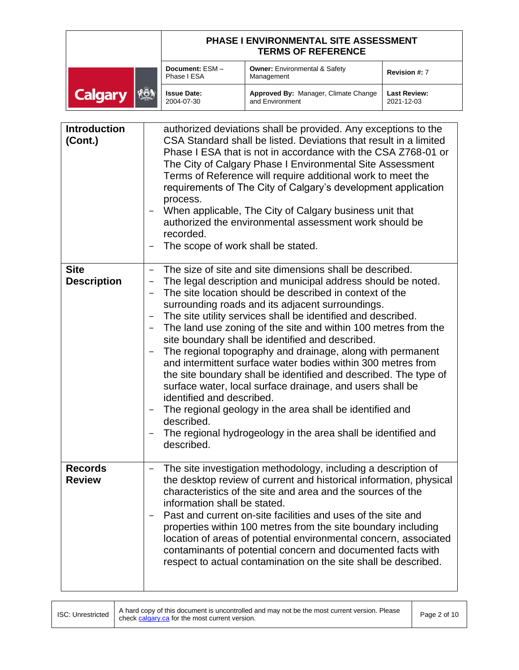|                               | <b>PHASE I ENVIRONMENTAL SITE ASSESSMENT</b><br><b>TERMS OF REFERENCE</b> |                                                         |                                   |
|-------------------------------|---------------------------------------------------------------------------|---------------------------------------------------------|-----------------------------------|
|                               | Document: ESM-<br>Phase I ESA                                             | <b>Owner:</b> Environmental & Safety<br>Management      | Revision #: 7                     |
| <b>IESS</b><br><b>Calgary</b> | <b>Issue Date:</b><br>2004-07-30                                          | Approved By: Manager, Climate Change<br>and Environment | <b>Last Review:</b><br>2021-12-03 |

| <b>Introduction</b><br>(Cont.)    | authorized deviations shall be provided. Any exceptions to the<br>CSA Standard shall be listed. Deviations that result in a limited<br>Phase I ESA that is not in accordance with the CSA Z768-01 or<br>The City of Calgary Phase I Environmental Site Assessment<br>Terms of Reference will require additional work to meet the<br>requirements of The City of Calgary's development application<br>process.<br>When applicable, The City of Calgary business unit that<br>authorized the environmental assessment work should be<br>recorded.<br>The scope of work shall be stated.                                                                                                                                                                                                                                                                                                   |
|-----------------------------------|-----------------------------------------------------------------------------------------------------------------------------------------------------------------------------------------------------------------------------------------------------------------------------------------------------------------------------------------------------------------------------------------------------------------------------------------------------------------------------------------------------------------------------------------------------------------------------------------------------------------------------------------------------------------------------------------------------------------------------------------------------------------------------------------------------------------------------------------------------------------------------------------|
| <b>Site</b><br><b>Description</b> | The size of site and site dimensions shall be described.<br>-<br>The legal description and municipal address should be noted.<br>The site location should be described in context of the<br>surrounding roads and its adjacent surroundings.<br>The site utility services shall be identified and described.<br>The land use zoning of the site and within 100 metres from the<br>site boundary shall be identified and described.<br>The regional topography and drainage, along with permanent<br>and intermittent surface water bodies within 300 metres from<br>the site boundary shall be identified and described. The type of<br>surface water, local surface drainage, and users shall be<br>identified and described.<br>The regional geology in the area shall be identified and<br>described.<br>The regional hydrogeology in the area shall be identified and<br>described. |
| <b>Records</b><br><b>Review</b>   | The site investigation methodology, including a description of<br>-<br>the desktop review of current and historical information, physical<br>characteristics of the site and area and the sources of the<br>information shall be stated.<br>Past and current on-site facilities and uses of the site and<br>properties within 100 metres from the site boundary including<br>location of areas of potential environmental concern, associated<br>contaminants of potential concern and documented facts with<br>respect to actual contamination on the site shall be described.                                                                                                                                                                                                                                                                                                         |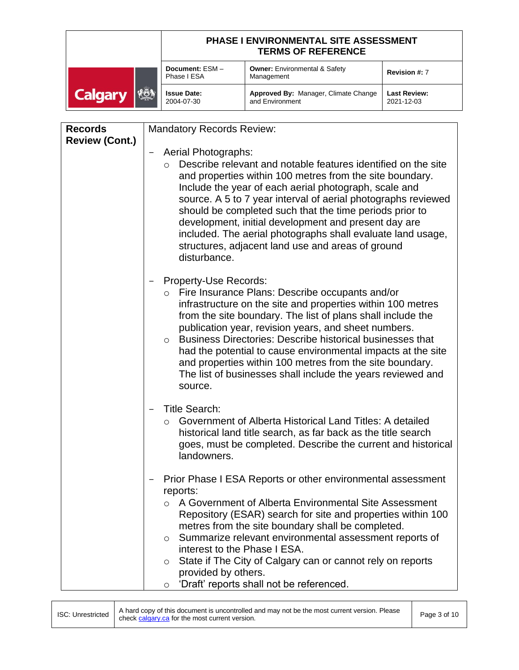|                                  | <b>PHASE I ENVIRONMENTAL SITE ASSESSMENT</b><br><b>TERMS OF REFERENCE</b> |                                                         |                                   |
|----------------------------------|---------------------------------------------------------------------------|---------------------------------------------------------|-----------------------------------|
|                                  | Document: ESM-<br>Phase I ESA                                             | <b>Owner: Environmental &amp; Safety</b><br>Management  | Revision #: 7                     |
| $ \mathcal{E}$<br><b>Calgary</b> | <b>Issue Date:</b><br>2004-07-30                                          | Approved By: Manager, Climate Change<br>and Environment | <b>Last Review:</b><br>2021-12-03 |

| <b>Records</b>        | <b>Mandatory Records Review:</b>                                                                                                                                                                                                                                                                                                                                                                                                                                                                                                                      |
|-----------------------|-------------------------------------------------------------------------------------------------------------------------------------------------------------------------------------------------------------------------------------------------------------------------------------------------------------------------------------------------------------------------------------------------------------------------------------------------------------------------------------------------------------------------------------------------------|
| <b>Review (Cont.)</b> | <b>Aerial Photographs:</b><br>Describe relevant and notable features identified on the site<br>and properties within 100 metres from the site boundary.<br>Include the year of each aerial photograph, scale and<br>source. A 5 to 7 year interval of aerial photographs reviewed<br>should be completed such that the time periods prior to<br>development, initial development and present day are<br>included. The aerial photographs shall evaluate land usage,<br>structures, adjacent land use and areas of ground<br>disturbance.              |
|                       | Property-Use Records:<br>o Fire Insurance Plans: Describe occupants and/or<br>infrastructure on the site and properties within 100 metres<br>from the site boundary. The list of plans shall include the<br>publication year, revision years, and sheet numbers.<br><b>Business Directories: Describe historical businesses that</b><br>$\circ$<br>had the potential to cause environmental impacts at the site<br>and properties within 100 metres from the site boundary.<br>The list of businesses shall include the years reviewed and<br>source. |
|                       | <b>Title Search:</b><br>Government of Alberta Historical Land Titles: A detailed<br>$\circ$<br>historical land title search, as far back as the title search<br>goes, must be completed. Describe the current and historical<br>landowners.                                                                                                                                                                                                                                                                                                           |
|                       | Prior Phase I ESA Reports or other environmental assessment<br>reports:<br>A Government of Alberta Environmental Site Assessment<br>$\circ$<br>Repository (ESAR) search for site and properties within 100<br>metres from the site boundary shall be completed.<br>Summarize relevant environmental assessment reports of<br>$\circ$<br>interest to the Phase I ESA.<br>State if The City of Calgary can or cannot rely on reports<br>O<br>provided by others.<br>'Draft' reports shall not be referenced.<br>O                                       |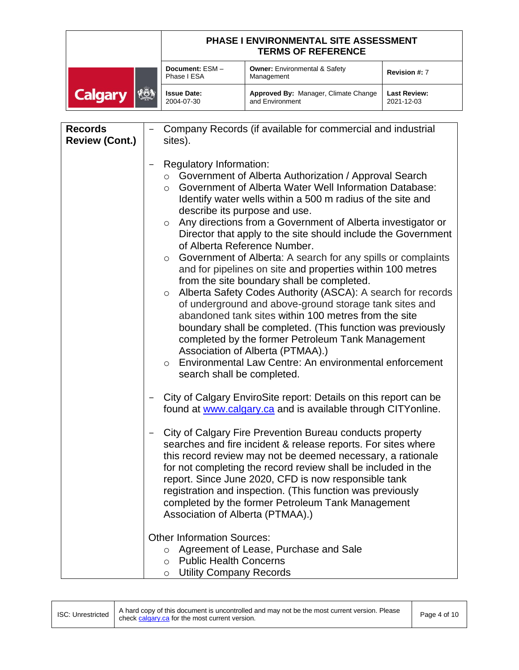|                              | <b>PHASE I ENVIRONMENTAL SITE ASSESSMENT</b><br><b>TERMS OF REFERENCE</b> |                                                         |                                   |
|------------------------------|---------------------------------------------------------------------------|---------------------------------------------------------|-----------------------------------|
|                              | Document: ESM-<br>Phase I ESA                                             | <b>Owner:</b> Environmental & Safety<br>Management      | Revision #: 7                     |
| <b>VOI</b><br><b>Calgary</b> | <b>Issue Date:</b><br>2004-07-30                                          | Approved By: Manager, Climate Change<br>and Environment | <b>Last Review:</b><br>2021-12-03 |

| <b>Records</b>        | Company Records (if available for commercial and industrial                                                                                                                                                                                                                                                                                                                                                                                                                                                                                                                                                                                                                                                                                                                                                                                                                                                                                                                                                                                                                                                                                                                                                                 |
|-----------------------|-----------------------------------------------------------------------------------------------------------------------------------------------------------------------------------------------------------------------------------------------------------------------------------------------------------------------------------------------------------------------------------------------------------------------------------------------------------------------------------------------------------------------------------------------------------------------------------------------------------------------------------------------------------------------------------------------------------------------------------------------------------------------------------------------------------------------------------------------------------------------------------------------------------------------------------------------------------------------------------------------------------------------------------------------------------------------------------------------------------------------------------------------------------------------------------------------------------------------------|
| <b>Review (Cont.)</b> | sites).                                                                                                                                                                                                                                                                                                                                                                                                                                                                                                                                                                                                                                                                                                                                                                                                                                                                                                                                                                                                                                                                                                                                                                                                                     |
|                       | Regulatory Information:<br>Government of Alberta Authorization / Approval Search<br>$\circ$<br>Government of Alberta Water Well Information Database:<br>$\circ$<br>Identify water wells within a 500 m radius of the site and<br>describe its purpose and use.<br>Any directions from a Government of Alberta investigator or<br>$\circ$<br>Director that apply to the site should include the Government<br>of Alberta Reference Number.<br>Government of Alberta: A search for any spills or complaints<br>$\circ$<br>and for pipelines on site and properties within 100 metres<br>from the site boundary shall be completed.<br>Alberta Safety Codes Authority (ASCA): A search for records<br>$\circ$<br>of underground and above-ground storage tank sites and<br>abandoned tank sites within 100 metres from the site<br>boundary shall be completed. (This function was previously<br>completed by the former Petroleum Tank Management<br>Association of Alberta (PTMAA).)<br>Environmental Law Centre: An environmental enforcement<br>$\circ$<br>search shall be completed.<br>City of Calgary EnviroSite report: Details on this report can be<br>found at www.calgary.ca and is available through CITYonline. |
|                       | City of Calgary Fire Prevention Bureau conducts property<br>searches and fire incident & release reports. For sites where<br>this record review may not be deemed necessary, a rationale<br>for not completing the record review shall be included in the<br>report. Since June 2020, CFD is now responsible tank<br>registration and inspection. (This function was previously<br>completed by the former Petroleum Tank Management<br>Association of Alberta (PTMAA).)                                                                                                                                                                                                                                                                                                                                                                                                                                                                                                                                                                                                                                                                                                                                                    |
|                       | <b>Other Information Sources:</b><br>Agreement of Lease, Purchase and Sale<br>$\circ$<br><b>Public Health Concerns</b><br>$\circ$<br><b>Utility Company Records</b><br>$\circ$                                                                                                                                                                                                                                                                                                                                                                                                                                                                                                                                                                                                                                                                                                                                                                                                                                                                                                                                                                                                                                              |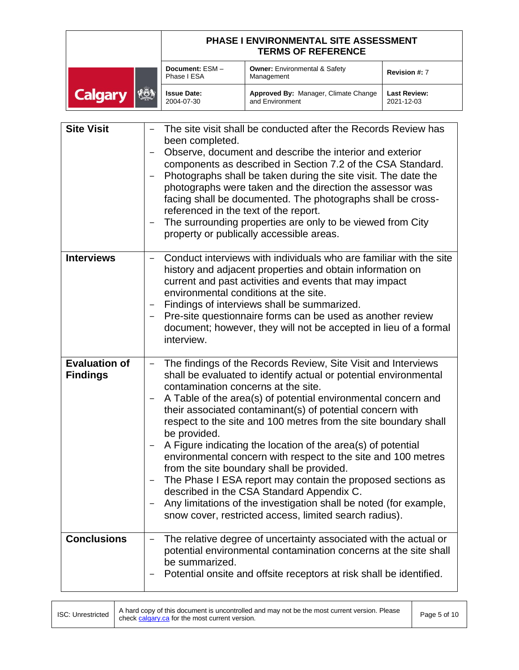|                              | <b>PHASE I ENVIRONMENTAL SITE ASSESSMENT</b><br><b>TERMS OF REFERENCE</b> |                                                         |                                   |
|------------------------------|---------------------------------------------------------------------------|---------------------------------------------------------|-----------------------------------|
|                              | Document: ESM-<br>Phase I ESA                                             | <b>Owner: Environmental &amp; Safety</b><br>Management  | Revision #: 7                     |
| <b>KÖ!</b><br><b>Calgary</b> | <b>Issue Date:</b><br>2004-07-30                                          | Approved By: Manager, Climate Change<br>and Environment | <b>Last Review:</b><br>2021-12-03 |

| <b>Site Visit</b>                       | The site visit shall be conducted after the Records Review has<br>been completed.<br>Observe, document and describe the interior and exterior<br>components as described in Section 7.2 of the CSA Standard.<br>Photographs shall be taken during the site visit. The date the<br>photographs were taken and the direction the assessor was<br>facing shall be documented. The photographs shall be cross-<br>referenced in the text of the report.<br>The surrounding properties are only to be viewed from City<br>property or publically accessible areas.                                                                                                                                                                                                                                                      |
|-----------------------------------------|--------------------------------------------------------------------------------------------------------------------------------------------------------------------------------------------------------------------------------------------------------------------------------------------------------------------------------------------------------------------------------------------------------------------------------------------------------------------------------------------------------------------------------------------------------------------------------------------------------------------------------------------------------------------------------------------------------------------------------------------------------------------------------------------------------------------|
| <b>Interviews</b>                       | Conduct interviews with individuals who are familiar with the site<br>history and adjacent properties and obtain information on<br>current and past activities and events that may impact<br>environmental conditions at the site.<br>Findings of interviews shall be summarized.<br>Pre-site questionnaire forms can be used as another review<br>document; however, they will not be accepted in lieu of a formal<br>interview.                                                                                                                                                                                                                                                                                                                                                                                  |
| <b>Evaluation of</b><br><b>Findings</b> | The findings of the Records Review, Site Visit and Interviews<br>shall be evaluated to identify actual or potential environmental<br>contamination concerns at the site.<br>A Table of the area(s) of potential environmental concern and<br>their associated contaminant(s) of potential concern with<br>respect to the site and 100 metres from the site boundary shall<br>be provided.<br>A Figure indicating the location of the area(s) of potential<br>environmental concern with respect to the site and 100 metres<br>from the site boundary shall be provided.<br>The Phase I ESA report may contain the proposed sections as<br>described in the CSA Standard Appendix C.<br>Any limitations of the investigation shall be noted (for example,<br>snow cover, restricted access, limited search radius). |
| <b>Conclusions</b>                      | The relative degree of uncertainty associated with the actual or<br>potential environmental contamination concerns at the site shall<br>be summarized.<br>Potential onsite and offsite receptors at risk shall be identified.                                                                                                                                                                                                                                                                                                                                                                                                                                                                                                                                                                                      |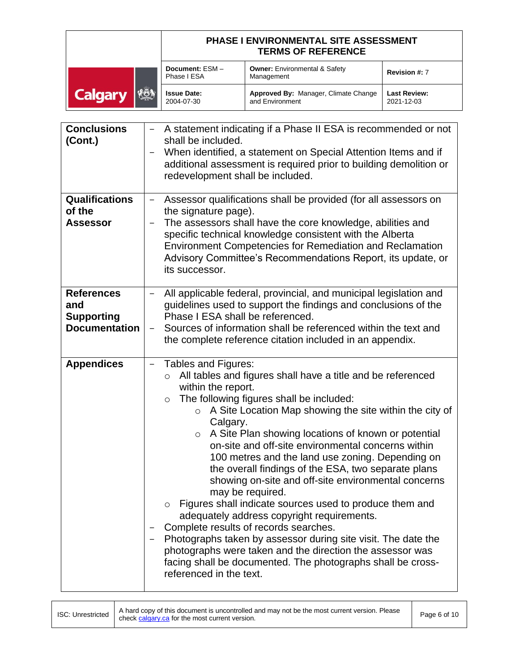|                          | <b>PHASE I ENVIRONMENTAL SITE ASSESSMENT</b><br><b>TERMS OF REFERENCE</b> |                                                         |                                   |
|--------------------------|---------------------------------------------------------------------------|---------------------------------------------------------|-----------------------------------|
|                          | Document: ESM-<br>Phase I ESA                                             | <b>Owner: Environmental &amp; Safety</b><br>Management  | Revision #: 7                     |
| ∤⊁ତି }<br><b>Calgary</b> | <b>Issue Date:</b><br>2004-07-30                                          | Approved By: Manager, Climate Change<br>and Environment | <b>Last Review:</b><br>2021-12-03 |

| <b>Conclusions</b><br>(Cont.)                                         | A statement indicating if a Phase II ESA is recommended or not<br>shall be included.<br>When identified, a statement on Special Attention Items and if<br>—<br>additional assessment is required prior to building demolition or<br>redevelopment shall be included.                                                                                                                                                                                                                                                                                                                                                                                                                                                                                                                                                                                                                                                                              |
|-----------------------------------------------------------------------|---------------------------------------------------------------------------------------------------------------------------------------------------------------------------------------------------------------------------------------------------------------------------------------------------------------------------------------------------------------------------------------------------------------------------------------------------------------------------------------------------------------------------------------------------------------------------------------------------------------------------------------------------------------------------------------------------------------------------------------------------------------------------------------------------------------------------------------------------------------------------------------------------------------------------------------------------|
| <b>Qualifications</b><br>of the<br><b>Assessor</b>                    | Assessor qualifications shall be provided (for all assessors on<br>the signature page).<br>The assessors shall have the core knowledge, abilities and<br>specific technical knowledge consistent with the Alberta<br><b>Environment Competencies for Remediation and Reclamation</b><br>Advisory Committee's Recommendations Report, its update, or<br>its successor.                                                                                                                                                                                                                                                                                                                                                                                                                                                                                                                                                                             |
| <b>References</b><br>and<br><b>Supporting</b><br><b>Documentation</b> | All applicable federal, provincial, and municipal legislation and<br>guidelines used to support the findings and conclusions of the<br>Phase I ESA shall be referenced.<br>Sources of information shall be referenced within the text and<br>the complete reference citation included in an appendix.                                                                                                                                                                                                                                                                                                                                                                                                                                                                                                                                                                                                                                             |
| <b>Appendices</b>                                                     | Tables and Figures:<br>All tables and figures shall have a title and be referenced<br>$\circ$<br>within the report.<br>The following figures shall be included:<br>$\circ$<br>$\circ$ A Site Location Map showing the site within the city of<br>Calgary.<br>A Site Plan showing locations of known or potential<br>$\circ$<br>on-site and off-site environmental concerns within<br>100 metres and the land use zoning. Depending on<br>the overall findings of the ESA, two separate plans<br>showing on-site and off-site environmental concerns<br>may be required.<br>Figures shall indicate sources used to produce them and<br>adequately address copyright requirements.<br>Complete results of records searches.<br>Photographs taken by assessor during site visit. The date the<br>photographs were taken and the direction the assessor was<br>facing shall be documented. The photographs shall be cross-<br>referenced in the text. |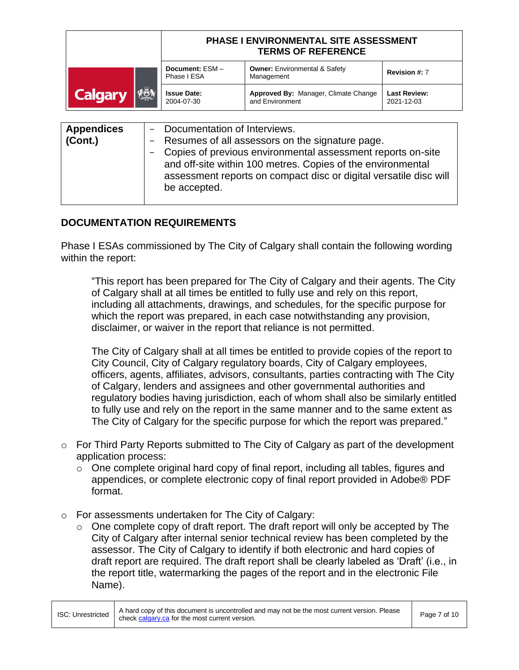|                              | <b>PHASE I ENVIRONMENTAL SITE ASSESSMENT</b><br><b>TERMS OF REFERENCE</b> |                                                         |                                   |
|------------------------------|---------------------------------------------------------------------------|---------------------------------------------------------|-----------------------------------|
|                              | Document: ESM-<br>Phase I ESA                                             | <b>Owner: Environmental &amp; Safety</b><br>Management  | Revision #: 7                     |
| <b>KÖN</b><br><b>Calgary</b> | <b>Issue Date:</b><br>2004-07-30                                          | Approved By: Manager, Climate Change<br>and Environment | <b>Last Review:</b><br>2021-12-03 |
|                              |                                                                           |                                                         |                                   |

| <b>Appendices</b><br>(Cont.) | - Documentation of Interviews.<br>- Resumes of all assessors on the signature page.<br>- Copies of previous environmental assessment reports on-site<br>and off-site within 100 metres. Copies of the environmental<br>assessment reports on compact disc or digital versatile disc will |
|------------------------------|------------------------------------------------------------------------------------------------------------------------------------------------------------------------------------------------------------------------------------------------------------------------------------------|
|                              | be accepted.                                                                                                                                                                                                                                                                             |

## **DOCUMENTATION REQUIREMENTS**

Phase I ESAs commissioned by The City of Calgary shall contain the following wording within the report:

"This report has been prepared for The City of Calgary and their agents. The City of Calgary shall at all times be entitled to fully use and rely on this report, including all attachments, drawings, and schedules, for the specific purpose for which the report was prepared, in each case notwithstanding any provision, disclaimer, or waiver in the report that reliance is not permitted.

The City of Calgary shall at all times be entitled to provide copies of the report to City Council, City of Calgary regulatory boards, City of Calgary employees, officers, agents, affiliates, advisors, consultants, parties contracting with The City of Calgary, lenders and assignees and other governmental authorities and regulatory bodies having jurisdiction, each of whom shall also be similarly entitled to fully use and rely on the report in the same manner and to the same extent as The City of Calgary for the specific purpose for which the report was prepared."

- $\circ$  For Third Party Reports submitted to The City of Calgary as part of the development application process:
	- o One complete original hard copy of final report, including all tables, figures and appendices, or complete electronic copy of final report provided in Adobe® PDF format.
- o For assessments undertaken for The City of Calgary:
	- o One complete copy of draft report. The draft report will only be accepted by The City of Calgary after internal senior technical review has been completed by the assessor. The City of Calgary to identify if both electronic and hard copies of draft report are required. The draft report shall be clearly labeled as 'Draft' (i.e., in the report title, watermarking the pages of the report and in the electronic File Name).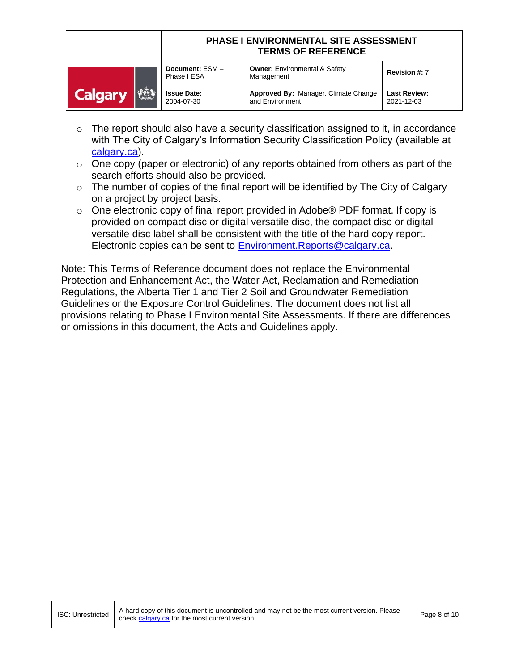|                       | <b>PHASE I ENVIRONMENTAL SITE ASSESSMENT</b><br><b>TERMS OF REFERENCE</b> |                                                         |                                   |
|-----------------------|---------------------------------------------------------------------------|---------------------------------------------------------|-----------------------------------|
|                       | Document: ESM-<br>Phase I ESA                                             | <b>Owner: Environmental &amp; Safety</b><br>Management  | Revision #: 7                     |
| KÖN<br><b>Calgary</b> | <b>Issue Date:</b><br>2004-07-30                                          | Approved By: Manager, Climate Change<br>and Environment | <b>Last Review:</b><br>2021-12-03 |

- $\circ$  The report should also have a security classification assigned to it, in accordance with The City of Calgary's Information Security Classification Policy (available at [calgary.ca\)](http://www.calgary.ca/).
- $\circ$  One copy (paper or electronic) of any reports obtained from others as part of the search efforts should also be provided.
- $\circ$  The number of copies of the final report will be identified by The City of Calgary on a project by project basis.
- o One electronic copy of final report provided in Adobe® PDF format. If copy is provided on compact disc or digital versatile disc, the compact disc or digital versatile disc label shall be consistent with the title of the hard copy report. Electronic copies can be sent to [Environment.Reports@calgary.ca.](mailto:Environment.Reports@calgary.ca)

Note: This Terms of Reference document does not replace the Environmental Protection and Enhancement Act, the Water Act, Reclamation and Remediation Regulations, the Alberta Tier 1 and Tier 2 Soil and Groundwater Remediation Guidelines or the Exposure Control Guidelines. The document does not list all provisions relating to Phase I Environmental Site Assessments. If there are differences or omissions in this document, the Acts and Guidelines apply.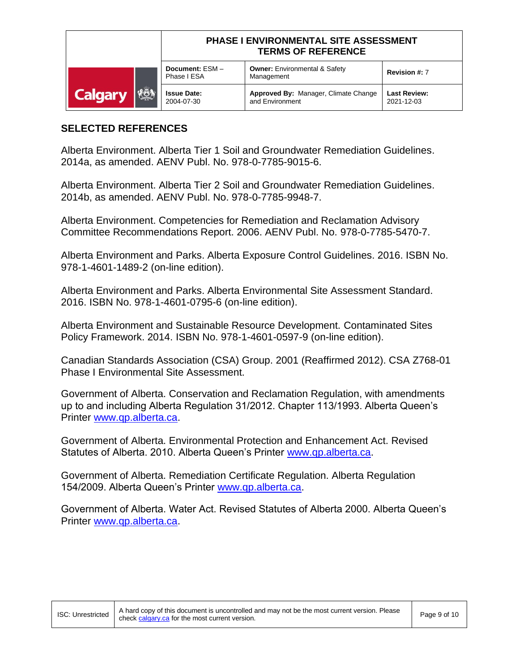|                              | PHASE I ENVIRONMENTAL SITE ASSESSMENT<br><b>TERMS OF REFERENCE</b> |                                                         |                                   |
|------------------------------|--------------------------------------------------------------------|---------------------------------------------------------|-----------------------------------|
|                              | Document: ESM-<br>Phase I ESA                                      | <b>Owner: Environmental &amp; Safety</b><br>Management  | Revision #: 7                     |
| <b>RÖN</b><br><b>Calgary</b> | <b>Issue Date:</b><br>2004-07-30                                   | Approved By: Manager, Climate Change<br>and Environment | <b>Last Review:</b><br>2021-12-03 |

## **SELECTED REFERENCES**

Alberta Environment. Alberta Tier 1 Soil and Groundwater Remediation Guidelines. 2014a, as amended. AENV Publ. No. 978-0-7785-9015-6.

Alberta Environment. Alberta Tier 2 Soil and Groundwater Remediation Guidelines. 2014b, as amended. AENV Publ. No. 978-0-7785-9948-7.

Alberta Environment. Competencies for Remediation and Reclamation Advisory Committee Recommendations Report. 2006. AENV Publ. No. 978-0-7785-5470-7.

Alberta Environment and Parks. Alberta Exposure Control Guidelines. 2016. ISBN No. 978-1-4601-1489-2 (on-line edition).

Alberta Environment and Parks. Alberta Environmental Site Assessment Standard. 2016. ISBN No. 978-1-4601-0795-6 (on-line edition).

Alberta Environment and Sustainable Resource Development. Contaminated Sites Policy Framework. 2014. ISBN No. 978-1-4601-0597-9 (on-line edition).

Canadian Standards Association (CSA) Group. 2001 (Reaffirmed 2012). CSA Z768-01 Phase I Environmental Site Assessment.

Government of Alberta. Conservation and Reclamation Regulation, with amendments up to and including Alberta Regulation 31/2012. Chapter 113/1993. Alberta Queen's Printer [www.qp.alberta.ca.](http://www.qp.alberta.ca/)

Government of Alberta. Environmental Protection and Enhancement Act. Revised Statutes of Alberta. 2010. Alberta Queen's Printer [www.qp.alberta.ca.](http://www.qp.alberta.ca/)

Government of Alberta. Remediation Certificate Regulation. Alberta Regulation 154/2009. Alberta Queen's Printer [www.qp.alberta.ca.](http://www.qp.alberta.ca/)

Government of Alberta. Water Act. Revised Statutes of Alberta 2000. Alberta Queen's Printer [www.qp.alberta.ca.](http://www.qp.alberta.ca/)